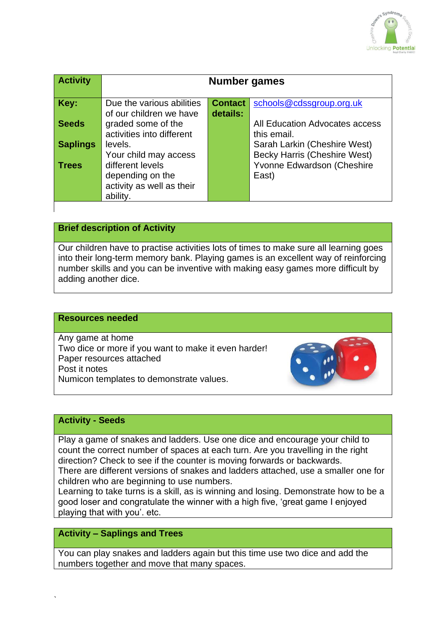

| <b>Activity</b> | Number games                                                                               |                            |                                                                            |
|-----------------|--------------------------------------------------------------------------------------------|----------------------------|----------------------------------------------------------------------------|
| Key:            | Due the various abilities<br>of our children we have                                       | <b>Contact</b><br>details: | schools@cdssgroup.org.uk                                                   |
| <b>Seeds</b>    | graded some of the<br>activities into different                                            |                            | All Education Advocates access<br>this email.                              |
| <b>Saplings</b> | levels.                                                                                    |                            | Sarah Larkin (Cheshire West)                                               |
| <b>Trees</b>    | Your child may access<br>different levels<br>depending on the<br>activity as well as their |                            | <b>Becky Harris (Cheshire West)</b><br>Yvonne Edwardson (Cheshire<br>East) |
|                 | ability.                                                                                   |                            |                                                                            |

# **Brief description of Activity**

Our children have to practise activities lots of times to make sure all learning goes into their long-term memory bank. Playing games is an excellent way of reinforcing number skills and you can be inventive with making easy games more difficult by adding another dice.

#### **Resources needed**

Any game at home Two dice or more if you want to make it even harder! Paper resources attached Post it notes Numicon templates to demonstrate values.



### **Activity - Seeds**

`

Play a game of snakes and ladders. Use one dice and encourage your child to count the correct number of spaces at each turn. Are you travelling in the right direction? Check to see if the counter is moving forwards or backwards.

There are different versions of snakes and ladders attached, use a smaller one for children who are beginning to use numbers.

Learning to take turns is a skill, as is winning and losing. Demonstrate how to be a good loser and congratulate the winner with a high five, 'great game I enjoyed playing that with you'. etc.

## **Activity – Saplings and Trees**

You can play snakes and ladders again but this time use two dice and add the numbers together and move that many spaces.